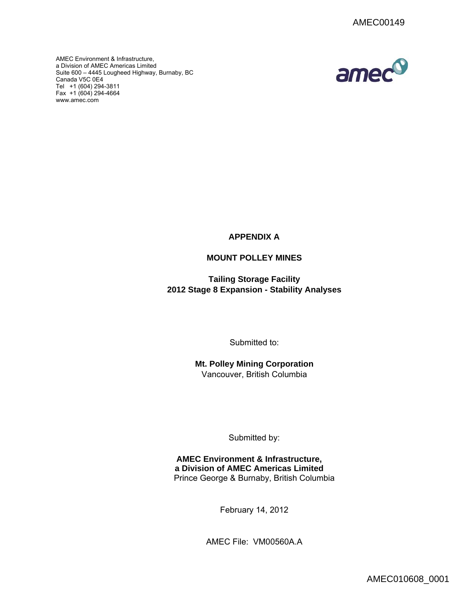AMEC Environment & Infrastructure, a Division of AMEC Americas Limited Suite 600 – 4445 Lougheed Highway, Burnaby, BC Canada V5C 0E4 Tel +1 (604) 294-3811 Fax  $+1(604)$  294-4664 www.amec.com



**APPENDIX A** 

# **MOUNT POLLEY MINES**

**Tailing Storage Facility 2012 Stage 8 Expansion - Stability Analyses**

Submitted to:

**Mt. Polley Mining Corporation**  Vancouver, British Columbia

Submitted by:

**AMEC Environment & Infrastructure, a Division of AMEC Americas Limited** Prince George & Burnaby, British Columbia

February 14, 2012

AMEC File: VM00560A.A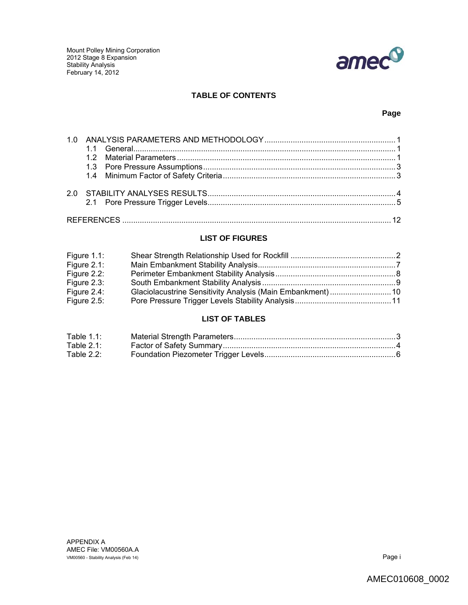

## **TABLE OF CONTENTS**

## **Page**

# **LIST OF FIGURES**

| Figure $1.1$ : |  |
|----------------|--|
| Figure $2.1$ : |  |
| Figure 2.2:    |  |
| Figure $2.3$ : |  |
| Figure 2.4:    |  |
| Figure $2.5$ : |  |

## **LIST OF TABLES**

| Table 1.1:    |  |
|---------------|--|
| Table $2.1$ : |  |
| Table $2.2$ : |  |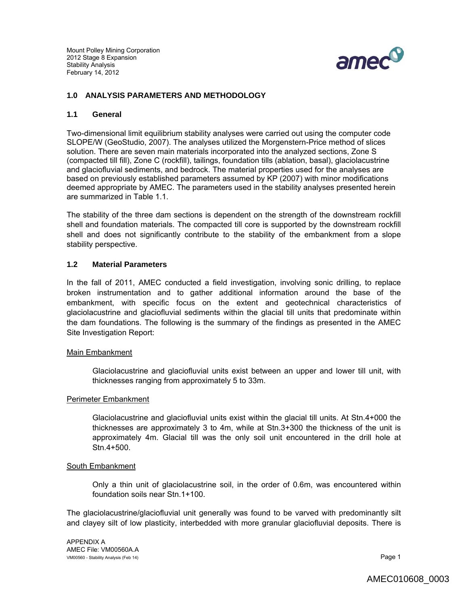

### **1.0 ANALYSIS PARAMETERS AND METHODOLOGY**

#### **1.1 General**

Two-dimensional limit equilibrium stability analyses were carried out using the computer code SLOPE/W (GeoStudio, 2007). The analyses utilized the Morgenstern-Price method of slices solution. There are seven main materials incorporated into the analyzed sections, Zone S (compacted till fill), Zone C (rockfill), tailings, foundation tills (ablation, basal), glaciolacustrine and glaciofluvial sediments, and bedrock. The material properties used for the analyses are based on previously established parameters assumed by KP (2007) with minor modifications deemed appropriate by AMEC. The parameters used in the stability analyses presented herein are summarized in Table 1.1.

The stability of the three dam sections is dependent on the strength of the downstream rockfill shell and foundation materials. The compacted till core is supported by the downstream rockfill shell and does not significantly contribute to the stability of the embankment from a slope stability perspective.

#### **1.2 Material Parameters**

In the fall of 2011, AMEC conducted a field investigation, involving sonic drilling, to replace broken instrumentation and to gather additional information around the base of the embankment, with specific focus on the extent and geotechnical characteristics of glaciolacustrine and glaciofluvial sediments within the glacial till units that predominate within the dam foundations. The following is the summary of the findings as presented in the AMEC Site Investigation Report:

#### Main Embankment

Glaciolacustrine and glaciofluvial units exist between an upper and lower till unit, with thicknesses ranging from approximately 5 to 33m.

#### Perimeter Embankment

Glaciolacustrine and glaciofluvial units exist within the glacial till units. At Stn.4+000 the thicknesses are approximately 3 to 4m, while at Stn.3+300 the thickness of the unit is approximately 4m. Glacial till was the only soil unit encountered in the drill hole at Stn.4+500.

#### South Embankment

Only a thin unit of glaciolacustrine soil, in the order of 0.6m, was encountered within foundation soils near Stn.1+100.

The glaciolacustrine/glaciofluvial unit generally was found to be varved with predominantly silt and clayey silt of low plasticity, interbedded with more granular glaciofluvial deposits. There is

APPENDIX A AMEC File: VM00560A.A VM00560 - Stability Analysis (Feb 14) **Page 1 Page 1**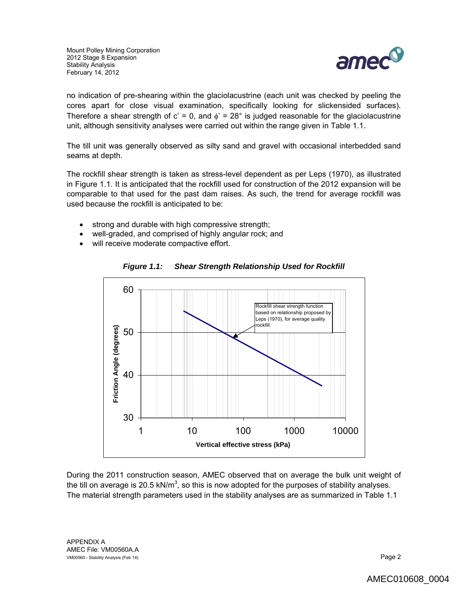

no indication of pre-shearing within the glaciolacustrine (each unit was checked by peeling the cores apart for close visual examination, specifically looking for slickensided surfaces). Therefore a shear strength of  $c' = 0$ , and  $\phi' = 28^\circ$  is judged reasonable for the glaciolacustrine unit, although sensitivity analyses were carried out within the range given in Table 1.1.

The till unit was generally observed as silty sand and gravel with occasional interbedded sand seams at depth.

The rockfill shear strength is taken as stress-level dependent as per Leps (1970), as illustrated in Figure 1.1. It is anticipated that the rockfill used for construction of the 2012 expansion will be comparable to that used for the past dam raises. As such, the trend for average rockfill was used because the rockfill is anticipated to be:

- strong and durable with high compressive strength;
- well-graded, and comprised of highly angular rock; and
- will receive moderate compactive effort.



*Figure 1.1: Shear Strength Relationship Used for Rockfill* 

During the 2011 construction season, AMEC observed that on average the bulk unit weight of the till on average is 20.5 kN/m<sup>3</sup>, so this is now adopted for the purposes of stability analyses. The material strength parameters used in the stability analyses are as summarized in Table 1.1

APPENDIX A AMEC File: VM00560A.A VM00560 - Stability Analysis (Feb 14)  $P$ age 2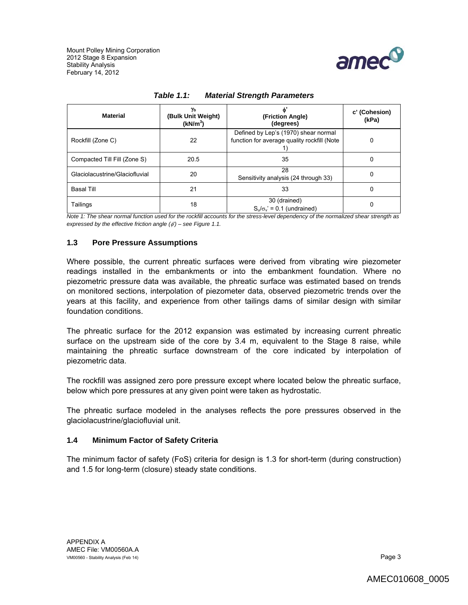

| <b>Material</b>                | Yь<br>(Bulk Unit Weight)<br>(kN/m <sup>3</sup> ) | (Friction Angle)<br>(degrees)                                                       | c' (Cohesion)<br>(kPa) |
|--------------------------------|--------------------------------------------------|-------------------------------------------------------------------------------------|------------------------|
| Rockfill (Zone C)              | 22                                               | Defined by Lep's (1970) shear normal<br>function for average quality rockfill (Note | 0                      |
| Compacted Till Fill (Zone S)   | 20.5                                             | 35                                                                                  | 0                      |
| Glaciolacustrine/Glaciofluvial | 20                                               | 28<br>Sensitivity analysis (24 through 33)                                          | 0                      |
| Basal Till                     | 21                                               | 33                                                                                  | 0                      |
| Tailings                       | 18                                               | 30 (drained)<br>$S_u/\sigma_v' = 0.1$ (undrained)                                   |                        |

| Table $1.1$ : | <b>Material Strength Parameters</b> |
|---------------|-------------------------------------|
|               |                                     |

*Note 1: The shear normal function used for the rockfill accounts for the stress-level dependency of the normalized shear strength as expressed by the effective friction angle (') – see Figure 1.1.* 

### **1.3 Pore Pressure Assumptions**

Where possible, the current phreatic surfaces were derived from vibrating wire piezometer readings installed in the embankments or into the embankment foundation. Where no piezometric pressure data was available, the phreatic surface was estimated based on trends on monitored sections, interpolation of piezometer data, observed piezometric trends over the years at this facility, and experience from other tailings dams of similar design with similar foundation conditions.

The phreatic surface for the 2012 expansion was estimated by increasing current phreatic surface on the upstream side of the core by 3.4 m, equivalent to the Stage 8 raise, while maintaining the phreatic surface downstream of the core indicated by interpolation of piezometric data.

The rockfill was assigned zero pore pressure except where located below the phreatic surface, below which pore pressures at any given point were taken as hydrostatic.

The phreatic surface modeled in the analyses reflects the pore pressures observed in the glaciolacustrine/glaciofluvial unit.

### **1.4 Minimum Factor of Safety Criteria**

The minimum factor of safety (FoS) criteria for design is 1.3 for short-term (during construction) and 1.5 for long-term (closure) steady state conditions.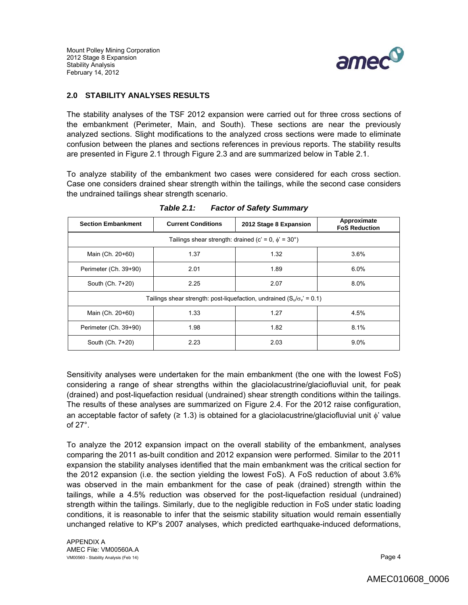

## **2.0 STABILITY ANALYSES RESULTS**

The stability analyses of the TSF 2012 expansion were carried out for three cross sections of the embankment (Perimeter, Main, and South). These sections are near the previously analyzed sections. Slight modifications to the analyzed cross sections were made to eliminate confusion between the planes and sections references in previous reports. The stability results are presented in Figure 2.1 through Figure 2.3 and are summarized below in Table 2.1.

To analyze stability of the embankment two cases were considered for each cross section. Case one considers drained shear strength within the tailings, while the second case considers the undrained tailings shear strength scenario.

| <b>Section Embankment</b>                                                     | <b>Current Conditions</b> | 2012 Stage 8 Expansion | Approximate<br><b>FoS Reduction</b> |  |
|-------------------------------------------------------------------------------|---------------------------|------------------------|-------------------------------------|--|
| Tailings shear strength: drained (c' = 0, $\phi$ ' = 30°)                     |                           |                        |                                     |  |
| Main (Ch. 20+60)                                                              | 1.37                      | 1.32                   | 3.6%                                |  |
| Perimeter (Ch. 39+90)                                                         | 2.01                      | 1.89                   | 6.0%                                |  |
| South (Ch. 7+20)                                                              | 2.25                      | 2.07                   | 8.0%                                |  |
| Tailings shear strength: post-liquefaction, undrained $(S_u/\sigma_v' = 0.1)$ |                           |                        |                                     |  |
| Main (Ch. 20+60)                                                              | 1.33                      | 1.27                   | 4.5%                                |  |
| Perimeter (Ch. 39+90)                                                         | 1.98                      | 1.82                   | 8.1%                                |  |
| South (Ch. 7+20)                                                              | 2.23                      | 2.03                   | $9.0\%$                             |  |

*Table 2.1: Factor of Safety Summary* 

Sensitivity analyses were undertaken for the main embankment (the one with the lowest FoS) considering a range of shear strengths within the glaciolacustrine/glaciofluvial unit, for peak (drained) and post-liquefaction residual (undrained) shear strength conditions within the tailings. The results of these analyses are summarized on Figure 2.4. For the 2012 raise configuration, an acceptable factor of safety ( $\geq 1.3$ ) is obtained for a glaciolacustrine/glaciofluvial unit  $\phi'$  value of 27°.

To analyze the 2012 expansion impact on the overall stability of the embankment, analyses comparing the 2011 as-built condition and 2012 expansion were performed. Similar to the 2011 expansion the stability analyses identified that the main embankment was the critical section for the 2012 expansion (i.e. the section yielding the lowest FoS). A FoS reduction of about 3.6% was observed in the main embankment for the case of peak (drained) strength within the tailings, while a 4.5% reduction was observed for the post-liquefaction residual (undrained) strength within the tailings. Similarly, due to the negligible reduction in FoS under static loading conditions, it is reasonable to infer that the seismic stability situation would remain essentially unchanged relative to KP's 2007 analyses, which predicted earthquake-induced deformations,

APPENDIX A AMEC File: VM00560A.A VM00560 - Stability Analysis (Feb 14) **Page 4 Page 4**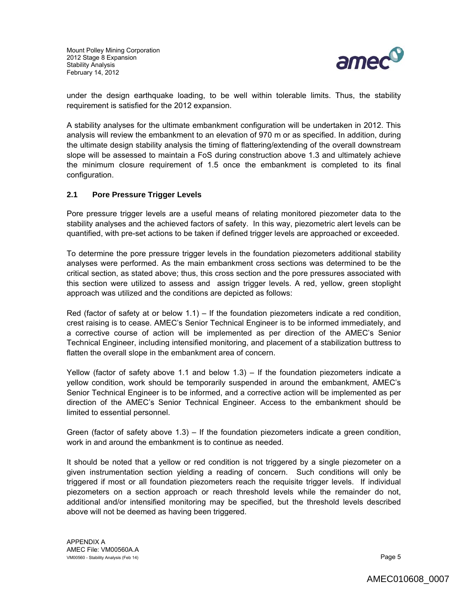

under the design earthquake loading, to be well within tolerable limits. Thus, the stability requirement is satisfied for the 2012 expansion.

A stability analyses for the ultimate embankment configuration will be undertaken in 2012. This analysis will review the embankment to an elevation of 970 m or as specified. In addition, during the ultimate design stability analysis the timing of flattering/extending of the overall downstream slope will be assessed to maintain a FoS during construction above 1.3 and ultimately achieve the minimum closure requirement of 1.5 once the embankment is completed to its final configuration.

## **2.1 Pore Pressure Trigger Levels**

Pore pressure trigger levels are a useful means of relating monitored piezometer data to the stability analyses and the achieved factors of safety. In this way, piezometric alert levels can be quantified, with pre-set actions to be taken if defined trigger levels are approached or exceeded.

To determine the pore pressure trigger levels in the foundation piezometers additional stability analyses were performed. As the main embankment cross sections was determined to be the critical section, as stated above; thus, this cross section and the pore pressures associated with this section were utilized to assess and assign trigger levels. A red, yellow, green stoplight approach was utilized and the conditions are depicted as follows:

Red (factor of safety at or below 1.1) – If the foundation piezometers indicate a red condition, crest raising is to cease. AMEC's Senior Technical Engineer is to be informed immediately, and a corrective course of action will be implemented as per direction of the AMEC's Senior Technical Engineer, including intensified monitoring, and placement of a stabilization buttress to flatten the overall slope in the embankment area of concern.

Yellow (factor of safety above 1.1 and below 1.3) – If the foundation piezometers indicate a yellow condition, work should be temporarily suspended in around the embankment, AMEC's Senior Technical Engineer is to be informed, and a corrective action will be implemented as per direction of the AMEC's Senior Technical Engineer. Access to the embankment should be limited to essential personnel.

Green (factor of safety above 1.3) – If the foundation piezometers indicate a green condition, work in and around the embankment is to continue as needed.

It should be noted that a yellow or red condition is not triggered by a single piezometer on a given instrumentation section yielding a reading of concern. Such conditions will only be triggered if most or all foundation piezometers reach the requisite trigger levels. If individual piezometers on a section approach or reach threshold levels while the remainder do not, additional and/or intensified monitoring may be specified, but the threshold levels described above will not be deemed as having been triggered.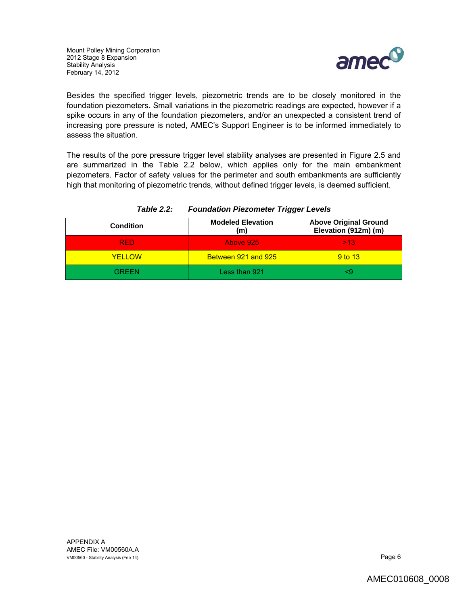

Besides the specified trigger levels, piezometric trends are to be closely monitored in the foundation piezometers. Small variations in the piezometric readings are expected, however if a spike occurs in any of the foundation piezometers, and/or an unexpected a consistent trend of increasing pore pressure is noted, AMEC's Support Engineer is to be informed immediately to assess the situation.

The results of the pore pressure trigger level stability analyses are presented in Figure 2.5 and are summarized in the Table 2.2 below, which applies only for the main embankment piezometers. Factor of safety values for the perimeter and south embankments are sufficiently high that monitoring of piezometric trends, without defined trigger levels, is deemed sufficient.

| <b>Condition</b> | <b>Modeled Elevation</b><br>(m) | <b>Above Original Ground</b><br>Elevation (912m) (m) |
|------------------|---------------------------------|------------------------------------------------------|
| RED.             | Above 925                       | >13                                                  |
| <b>YFIIOW</b>    | Between 921 and 925             | 9 <sub>to</sub> 13                                   |
| RREEN            | Less than 921                   |                                                      |

### *Table 2.2: Foundation Piezometer Trigger Levels*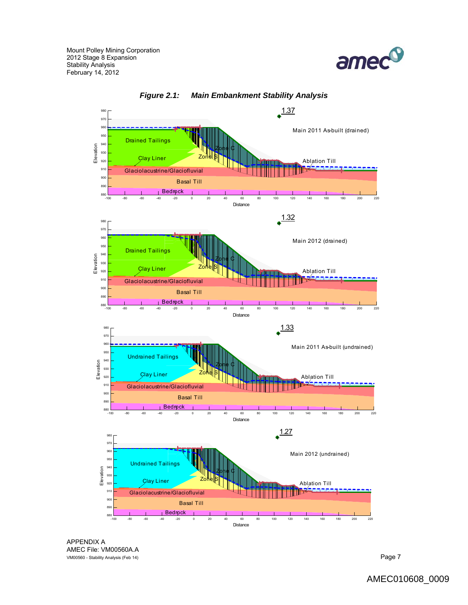





APPENDIX A AMEC File: VM00560A.A VM00560 - Stability Analysis (Feb 14) **Page 7 Page 7**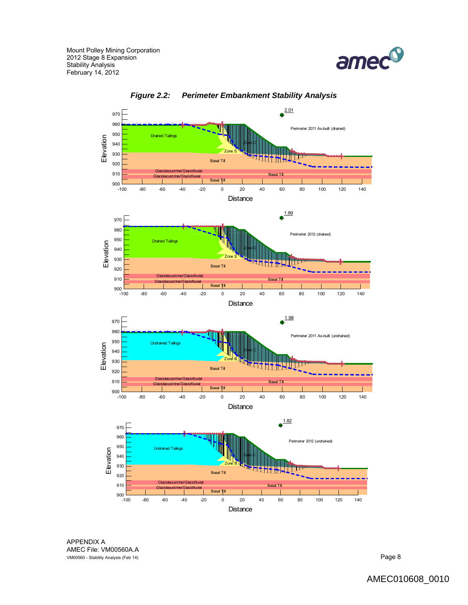





APPENDIX A AMEC File: VM00560A.A VM00560 - Stability Analysis (Feb 14) **Page 8**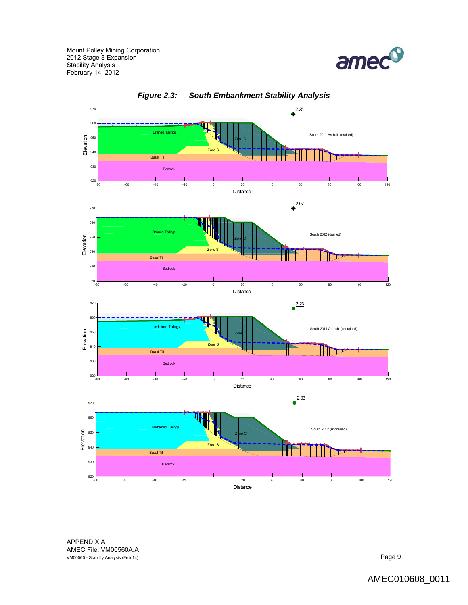



*Figure 2.3: South Embankment Stability Analysis*

APPENDIX A AMEC File: VM00560A.A VM00560 - Stability Analysis (Feb 14) Page 9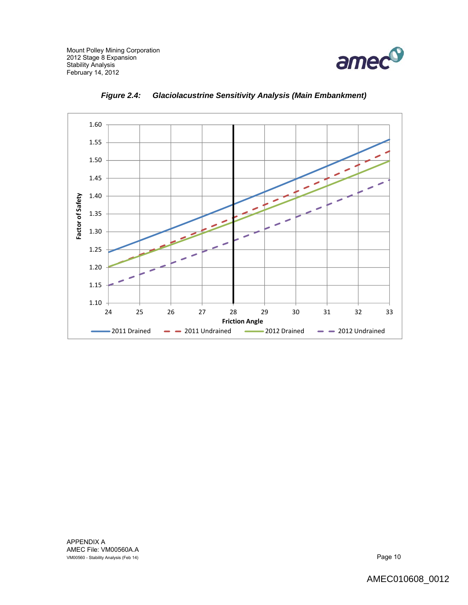



*Figure 2.4: Glaciolacustrine Sensitivity Analysis (Main Embankment)* 

APPENDIX A AMEC File: VM00560A.A VM00560 - Stability Analysis (Feb 14) **Page 10** NM00560 - Stability Analysis (Feb 14)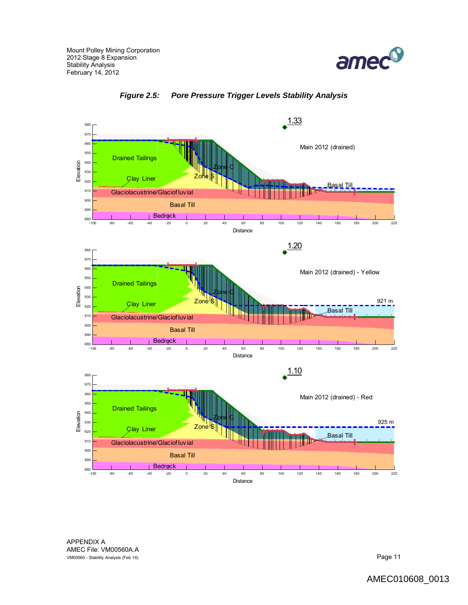



*Figure 2.5: Pore Pressure Trigger Levels Stability Analysis* 

APPENDIX A AMEC File: VM00560A.A VM00560 - Stability Analysis (Feb 14) **Page 11 Page 11**